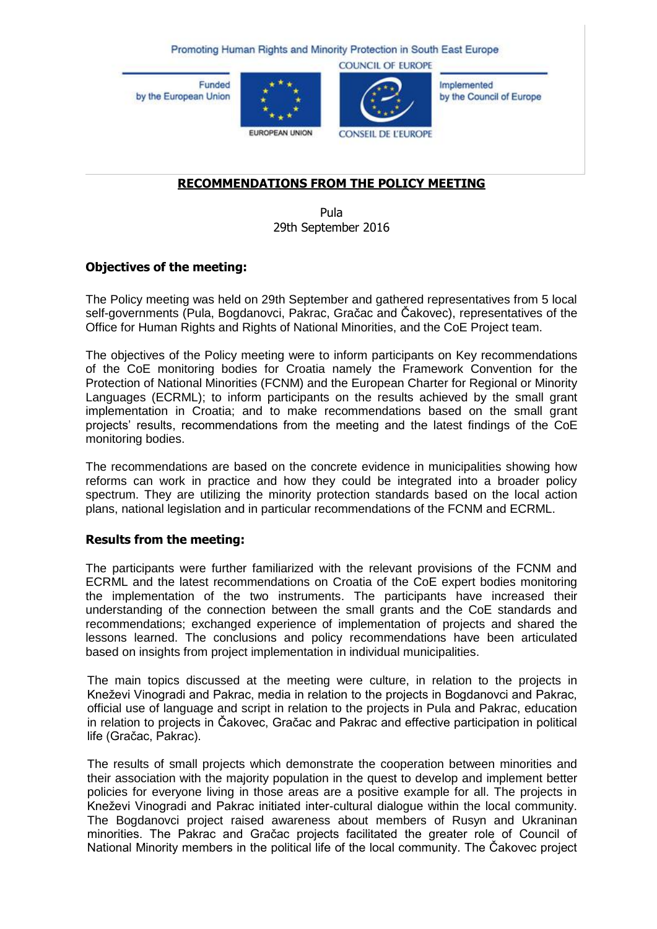Promoting Human Rights and Minority Protection in South East Europe

**Funded** by the European Union





**COUNCIL OF EUROPE** 

Implemented by the Council of Europe

EUROPEAN UNION

**CONSEIL DE L'EUROPE** 

# **RECOMMENDATIONS FROM THE POLICY MEETING**

Pula 29th September 2016

## **Objectives of the meeting:**

The Policy meeting was held on 29th September and gathered representatives from 5 local self-governments (Pula, Bogdanovci, Pakrac, Gračac and Čakovec), representatives of the Office for Human Rights and Rights of National Minorities, and the CoE Project team.

The objectives of the Policy meeting were to inform participants on Key recommendations of the CoE monitoring bodies for Croatia namely the Framework Convention for the Protection of National Minorities (FCNM) and the European Charter for Regional or Minority Languages (ECRML); to inform participants on the results achieved by the small grant implementation in Croatia; and to make recommendations based on the small grant projects' results, recommendations from the meeting and the latest findings of the CoE monitoring bodies.

The recommendations are based on the concrete evidence in municipalities showing how reforms can work in practice and how they could be integrated into a broader policy spectrum. They are utilizing the minority protection standards based on the local action plans, national legislation and in particular recommendations of the FCNM and ECRML.

## **Results from the meeting:**

The participants were further familiarized with the relevant provisions of the FCNM and ECRML and the latest recommendations on Croatia of the CoE expert bodies monitoring the implementation of the two instruments. The participants have increased their understanding of the connection between the small grants and the CoE standards and recommendations; exchanged experience of implementation of projects and shared the lessons learned. The conclusions and policy recommendations have been articulated based on insights from project implementation in individual municipalities.

The main topics discussed at the meeting were culture, in relation to the projects in Kneževi Vinogradi and Pakrac, media in relation to the projects in Bogdanovci and Pakrac, official use of language and script in relation to the projects in Pula and Pakrac, education in relation to projects in Čakovec, Gračac and Pakrac and effective participation in political life (Gračac, Pakrac).

The results of small projects which demonstrate the cooperation between minorities and their association with the majority population in the quest to develop and implement better policies for everyone living in those areas are a positive example for all. The projects in Kneževi Vinogradi and Pakrac initiated inter-cultural dialogue within the local community. The Bogdanovci project raised awareness about members of Rusyn and Ukraninan minorities. The Pakrac and Gračac projects facilitated the greater role of Council of National Minority members in the political life of the local community. The Čakovec project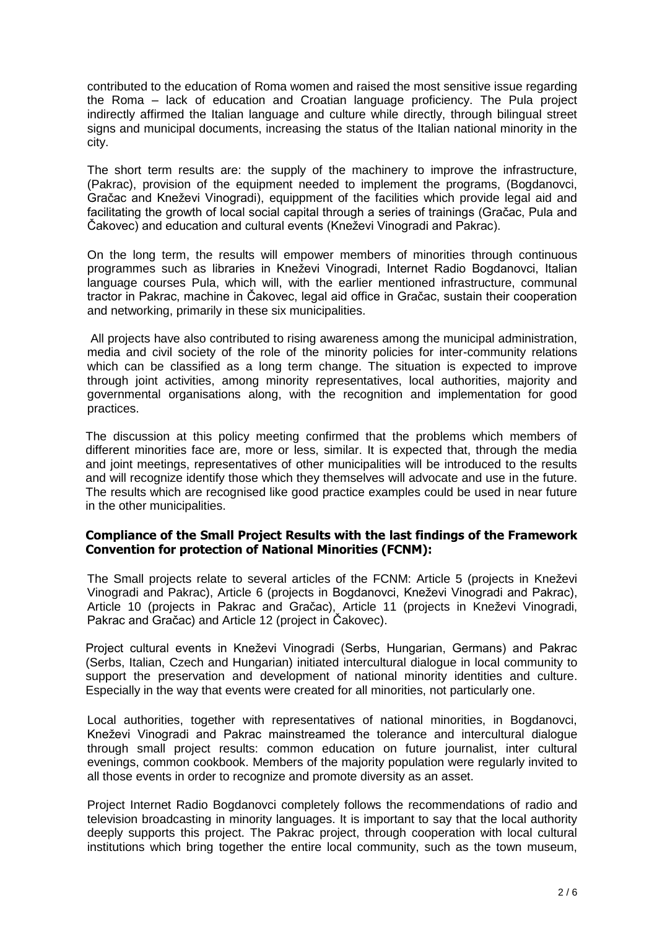contributed to the education of Roma women and raised the most sensitive issue regarding the Roma – lack of education and Croatian language proficiency. The Pula project indirectly affirmed the Italian language and culture while directly, through bilingual street signs and municipal documents, increasing the status of the Italian national minority in the city.

The short term results are: the supply of the machinery to improve the infrastructure, (Pakrac), provision of the equipment needed to implement the programs, (Bogdanovci, Gračac and Kneževi Vinogradi), equippment of the facilities which provide legal aid and facilitating the growth of local social capital through a series of trainings (Gračac, Pula and Čakovec) and education and cultural events (Kneževi Vinogradi and Pakrac).

On the long term, the results will empower members of minorities through continuous programmes such as libraries in Kneževi Vinogradi, Internet Radio Bogdanovci, Italian language courses Pula, which will, with the earlier mentioned infrastructure, communal tractor in Pakrac, machine in Čakovec, legal aid office in Gračac, sustain their cooperation and networking, primarily in these six municipalities.

All projects have also contributed to rising awareness among the municipal administration, media and civil society of the role of the minority policies for inter-community relations which can be classified as a long term change. The situation is expected to improve through joint activities, among minority representatives, local authorities, majority and governmental organisations along, with the recognition and implementation for good practices.

The discussion at this policy meeting confirmed that the problems which members of different minorities face are, more or less, similar. It is expected that, through the media and joint meetings, representatives of other municipalities will be introduced to the results and will recognize identify those which they themselves will advocate and use in the future. The results which are recognised like good practice examples could be used in near future in the other municipalities.

## **Compliance of the Small Project Results with the last findings of the Framework Convention for protection of National Minorities (FCNM):**

The Small projects relate to several articles of the FCNM: Article 5 (projects in Kneževi Vinogradi and Pakrac), Article 6 (projects in Bogdanovci, Kneževi Vinogradi and Pakrac), Article 10 (projects in Pakrac and Gračac), Article 11 (projects in Kneževi Vinogradi, Pakrac and Gračac) and Article 12 (project in Čakovec).

Project cultural events in Kneževi Vinogradi (Serbs, Hungarian, Germans) and Pakrac (Serbs, Italian, Czech and Hungarian) initiated intercultural dialogue in local community to support the preservation and development of national minority identities and culture. Especially in the way that events were created for all minorities, not particularly one.

Local authorities, together with representatives of national minorities, in Bogdanovci, Kneževi Vinogradi and Pakrac mainstreamed the tolerance and intercultural dialogue through small project results: common education on future journalist, inter cultural evenings, common cookbook. Members of the majority population were regularly invited to all those events in order to recognize and promote diversity as an asset.

Project Internet Radio Bogdanovci completely follows the recommendations of radio and television broadcasting in minority languages. It is important to say that the local authority deeply supports this project. The Pakrac project, through cooperation with local cultural institutions which bring together the entire local community, such as the town museum,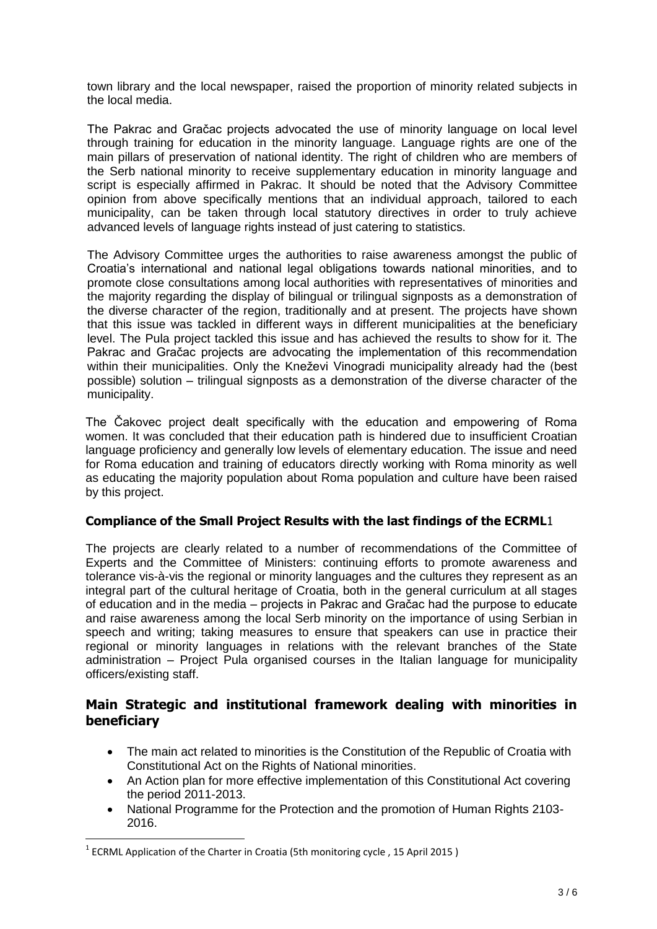town library and the local newspaper, raised the proportion of minority related subjects in the local media.

The Pakrac and Gračac projects advocated the use of minority language on local level through training for education in the minority language. Language rights are one of the main pillars of preservation of national identity. The right of children who are members of the Serb national minority to receive supplementary education in minority language and script is especially affirmed in Pakrac. It should be noted that the Advisory Committee opinion from above specifically mentions that an individual approach, tailored to each municipality, can be taken through local statutory directives in order to truly achieve advanced levels of language rights instead of just catering to statistics.

The Advisory Committee urges the authorities to raise awareness amongst the public of Croatia's international and national legal obligations towards national minorities, and to promote close consultations among local authorities with representatives of minorities and the majority regarding the display of bilingual or trilingual signposts as a demonstration of the diverse character of the region, traditionally and at present. The projects have shown that this issue was tackled in different ways in different municipalities at the beneficiary level. The Pula project tackled this issue and has achieved the results to show for it. The Pakrac and Gračac projects are advocating the implementation of this recommendation within their municipalities. Only the Kneževi Vinogradi municipality already had the (best possible) solution – trilingual signposts as a demonstration of the diverse character of the municipality.

The Čakovec project dealt specifically with the education and empowering of Roma women. It was concluded that their education path is hindered due to insufficient Croatian language proficiency and generally low levels of elementary education. The issue and need for Roma education and training of educators directly working with Roma minority as well as educating the majority population about Roma population and culture have been raised by this project.

## **Compliance of the Small Project Results with the last findings of the ECRML**1

The projects are clearly related to a number of recommendations of the Committee of Experts and the Committee of Ministers: continuing efforts to promote awareness and tolerance vis-à-vis the regional or minority languages and the cultures they represent as an integral part of the cultural heritage of Croatia, both in the general curriculum at all stages of education and in the media – projects in Pakrac and Gračac had the purpose to educate and raise awareness among the local Serb minority on the importance of using Serbian in speech and writing; taking measures to ensure that speakers can use in practice their regional or minority languages in relations with the relevant branches of the State administration – Project Pula organised courses in the Italian language for municipality officers/existing staff.

# **Main Strategic and institutional framework dealing with minorities in beneficiary**

- The main act related to minorities is the Constitution of the Republic of Croatia with Constitutional Act on the Rights of National minorities.
- An Action plan for more effective implementation of this Constitutional Act covering the period 2011-2013.
- National Programme for the Protection and the promotion of Human Rights 2103- 2016.

**.** 

<sup>&</sup>lt;sup>1</sup> ECRML Application of the Charter in Croatia (5th monitoring cycle, 15 April 2015)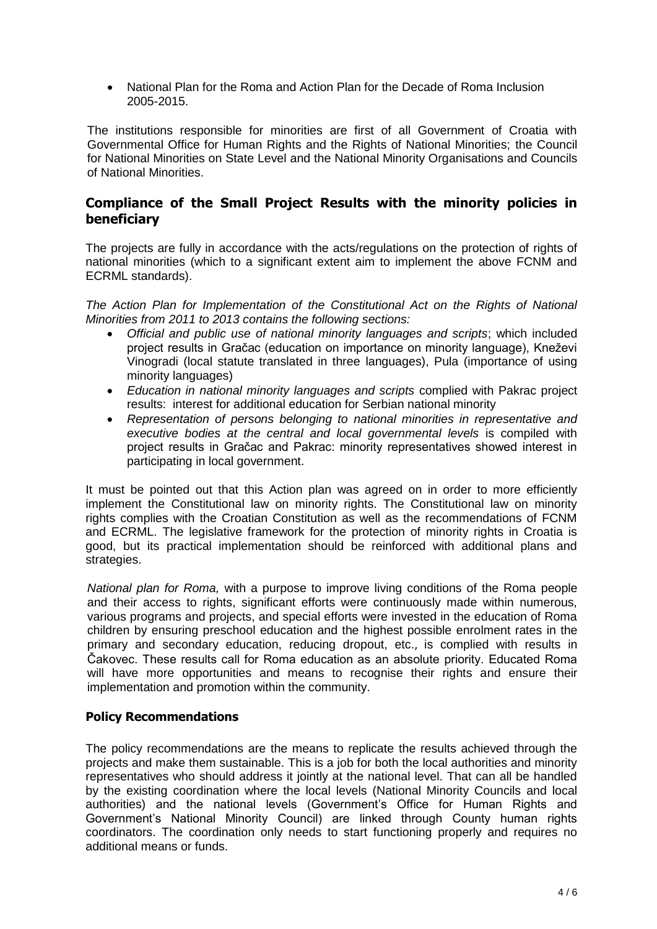National Plan for the Roma and Action Plan for the Decade of Roma Inclusion 2005-2015.

The institutions responsible for minorities are first of all Government of Croatia with Governmental Office for Human Rights and the Rights of National Minorities; the Council for National Minorities on State Level and the National Minority Organisations and Councils of National Minorities.

# **Compliance of the Small Project Results with the minority policies in beneficiary**

The projects are fully in accordance with the acts/regulations on the protection of rights of national minorities (which to a significant extent aim to implement the above FCNM and ECRML standards).

*The Action Plan for Implementation of the Constitutional Act on the Rights of National Minorities from 2011 to 2013 contains the following sections:* 

- *Official and public use of national minority languages and scripts*; which included project results in Gračac (education on importance on minority language), Kneževi Vinogradi (local statute translated in three languages), Pula (importance of using minority languages)
- *Education in national minority languages and scripts* complied with Pakrac project results: interest for additional education for Serbian national minority
- *Representation of persons belonging to national minorities in representative and executive bodies at the central and local governmental levels* is compiled with project results in Gračac and Pakrac: minority representatives showed interest in participating in local government.

It must be pointed out that this Action plan was agreed on in order to more efficiently implement the Constitutional law on minority rights. The Constitutional law on minority rights complies with the Croatian Constitution as well as the recommendations of FCNM and ECRML. The legislative framework for the protection of minority rights in Croatia is good, but its practical implementation should be reinforced with additional plans and strategies.

*National plan for Roma,* with a purpose to improve living conditions of the Roma people and their access to rights, significant efforts were continuously made within numerous, various programs and projects, and special efforts were invested in the education of Roma children by ensuring preschool education and the highest possible enrolment rates in the primary and secondary education, reducing dropout, etc., is complied with results in Čakovec. These results call for Roma education as an absolute priority. Educated Roma will have more opportunities and means to recognise their rights and ensure their implementation and promotion within the community.

# **Policy Recommendations**

The policy recommendations are the means to replicate the results achieved through the projects and make them sustainable. This is a job for both the local authorities and minority representatives who should address it jointly at the national level. That can all be handled by the existing coordination where the local levels (National Minority Councils and local authorities) and the national levels (Government's Office for Human Rights and Government's National Minority Council) are linked through County human rights coordinators. The coordination only needs to start functioning properly and requires no additional means or funds.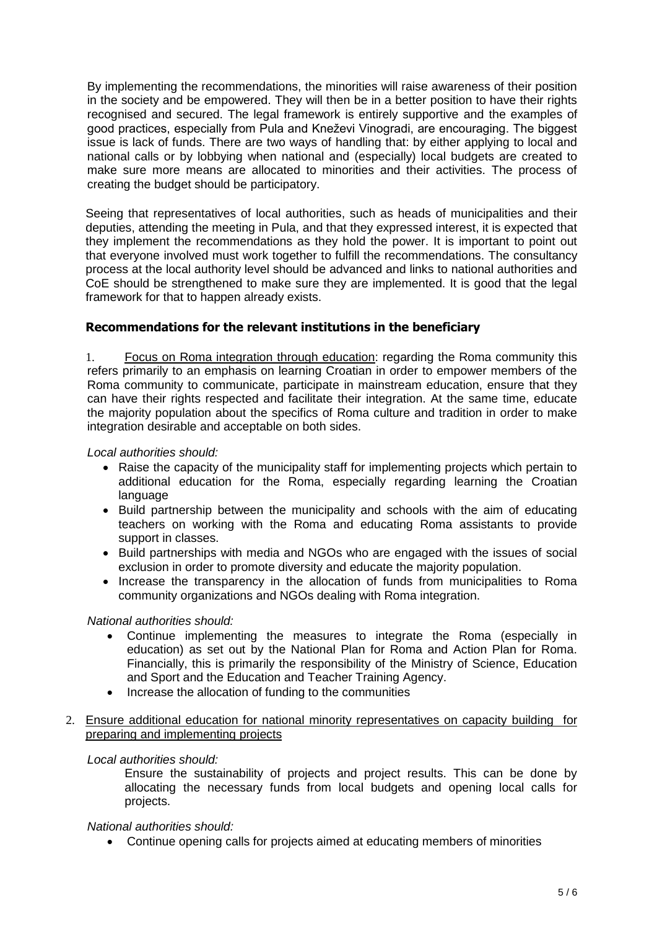By implementing the recommendations, the minorities will raise awareness of their position in the society and be empowered. They will then be in a better position to have their rights recognised and secured. The legal framework is entirely supportive and the examples of good practices, especially from Pula and Kneževi Vinogradi, are encouraging. The biggest issue is lack of funds. There are two ways of handling that: by either applying to local and national calls or by lobbying when national and (especially) local budgets are created to make sure more means are allocated to minorities and their activities. The process of creating the budget should be participatory.

Seeing that representatives of local authorities, such as heads of municipalities and their deputies, attending the meeting in Pula, and that they expressed interest, it is expected that they implement the recommendations as they hold the power. It is important to point out that everyone involved must work together to fulfill the recommendations. The consultancy process at the local authority level should be advanced and links to national authorities and CoE should be strengthened to make sure they are implemented. It is good that the legal framework for that to happen already exists.

## **Recommendations for the relevant institutions in the beneficiary**

1. Focus on Roma integration through education: regarding the Roma community this refers primarily to an emphasis on learning Croatian in order to empower members of the Roma community to communicate, participate in mainstream education, ensure that they can have their rights respected and facilitate their integration. At the same time, educate the majority population about the specifics of Roma culture and tradition in order to make integration desirable and acceptable on both sides.

### *Local authorities should:*

- Raise the capacity of the municipality staff for implementing projects which pertain to additional education for the Roma, especially regarding learning the Croatian language
- Build partnership between the municipality and schools with the aim of educating teachers on working with the Roma and educating Roma assistants to provide support in classes.
- Build partnerships with media and NGOs who are engaged with the issues of social exclusion in order to promote diversity and educate the majority population.
- Increase the transparency in the allocation of funds from municipalities to Roma community organizations and NGOs dealing with Roma integration.

#### *National authorities should:*

- Continue implementing the measures to integrate the Roma (especially in education) as set out by the National Plan for Roma and Action Plan for Roma. Financially, this is primarily the responsibility of the Ministry of Science, Education and Sport and the Education and Teacher Training Agency.
- Increase the allocation of funding to the communities
- 2. Ensure additional education for national minority representatives on capacity building for preparing and implementing projects

## *Local authorities should:*

Ensure the sustainability of projects and project results. This can be done by allocating the necessary funds from local budgets and opening local calls for projects.

## *National authorities should:*

Continue opening calls for projects aimed at educating members of minorities